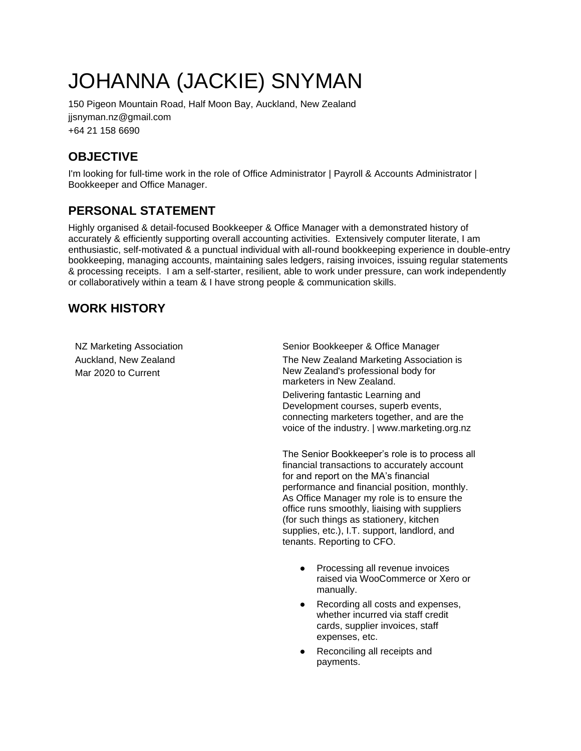# JOHANNA (JACKIE) SNYMAN

150 Pigeon Mountain Road, Half Moon Bay, Auckland, New Zealand jjsnyman.nz@gmail.com +64 21 158 6690

# **OBJECTIVE**

I'm looking for full-time work in the role of Office Administrator | Payroll & Accounts Administrator | Bookkeeper and Office Manager.

# **PERSONAL STATEMENT**

Highly organised & detail-focused Bookkeeper & Office Manager with a demonstrated history of accurately & efficiently supporting overall accounting activities. Extensively computer literate, I am enthusiastic, self-motivated & a punctual individual with all-round bookkeeping experience in double-entry bookkeeping, managing accounts, maintaining sales ledgers, raising invoices, issuing regular statements & processing receipts. I am a self-starter, resilient, able to work under pressure, can work independently or collaboratively within a team & I have strong people & communication skills.

## **WORK HISTORY**

NZ Marketing Association Auckland, New Zealand Mar 2020 to Current

Senior Bookkeeper & Office Manager

The New Zealand Marketing Association is New Zealand's professional body for marketers in New Zealand.

Delivering fantastic Learning and Development courses, superb events, connecting marketers together, and are the voice of the industry. | [www.marketing.org.nz](http://www.marketing.org.nz/)

The Senior Bookkeeper's role is to process all financial transactions to accurately account for and report on the MA's financial performance and financial position, monthly. As Office Manager my role is to ensure the office runs smoothly, liaising with suppliers (for such things as stationery, kitchen supplies, etc.), I.T. support, landlord, and tenants. Reporting to CFO.

- Processing all revenue invoices raised via WooCommerce or Xero or manually.
- Recording all costs and expenses, whether incurred via staff credit cards, supplier invoices, staff expenses, etc.
- Reconciling all receipts and payments.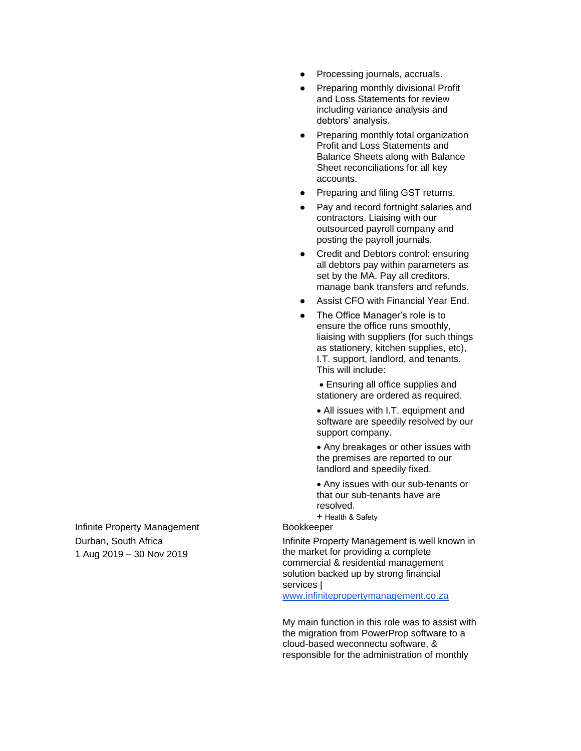- Processing journals, accruals.
- Preparing monthly divisional Profit and Loss Statements for review including variance analysis and debtors' analysis.
- Preparing monthly total organization Profit and Loss Statements and Balance Sheets along with Balance Sheet reconciliations for all key accounts.
- Preparing and filing GST returns.
- Pay and record fortnight salaries and contractors. Liaising with our outsourced payroll company and posting the payroll journals.
- Credit and Debtors control: ensuring all debtors pay within parameters as set by the MA. Pay all creditors, manage bank transfers and refunds.
- Assist CFO with Financial Year End.
- The Office Manager's role is to ensure the office runs smoothly, liaising with suppliers (for such things as stationery, kitchen supplies, etc), I.T. support, landlord, and tenants. This will include:

• Ensuring all office supplies and stationery are ordered as required.

• All issues with I.T. equipment and software are speedily resolved by our support company.

• Any breakages or other issues with the premises are reported to our landlord and speedily fixed.

• Any issues with our sub-tenants or that our sub-tenants have are resolved. + Health & Safety

Bookkeeper

Infinite Property Management is well known in the market for providing a complete commercial & residential management solution backed up by strong financial services | [www.infinitepropertymanagement.co.za](http://www.infinitepropertymanagement.co.za/)

My main function in this role was to assist with

the migration from PowerProp software to a cloud-based weconnectu software, & responsible for the administration of monthly

Infinite Property Management Durban, South Africa 1 Aug 2019 – 30 Nov 2019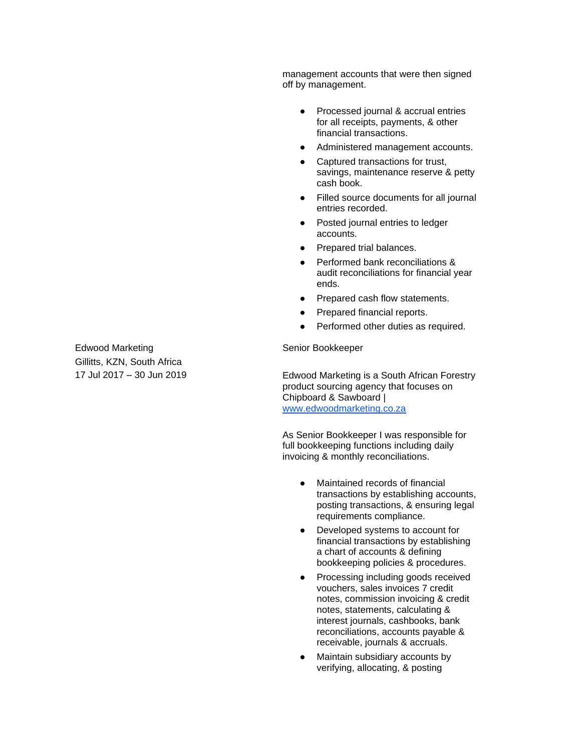management accounts that were then signed off by management.

- Processed journal & accrual entries for all receipts, payments, & other financial transactions.
- Administered management accounts.
- Captured transactions for trust, savings, maintenance reserve & petty cash book.
- Filled source documents for all journal entries recorded.
- Posted journal entries to ledger accounts.
- Prepared trial balances.
- Performed bank reconciliations & audit reconciliations for financial year ends.
- Prepared cash flow statements.
- Prepared financial reports.
- Performed other duties as required.

Senior Bookkeeper

Edwood Marketing is a South African Forestry product sourcing agency that focuses on Chipboard & Sawboard | [www.edwoodmarketing.co.za](http://www.edwoodmarketing.co.za/)

As Senior Bookkeeper I was responsible for full bookkeeping functions including daily invoicing & monthly reconciliations.

- Maintained records of financial transactions by establishing accounts, posting transactions, & ensuring legal requirements compliance.
- Developed systems to account for financial transactions by establishing a chart of accounts & defining bookkeeping policies & procedures.
- Processing including goods received vouchers, sales invoices 7 credit notes, commission invoicing & credit notes, statements, calculating & interest journals, cashbooks, bank reconciliations, accounts payable & receivable, journals & accruals.
- Maintain subsidiary accounts by verifying, allocating, & posting

Edwood Marketing Gillitts, KZN, South Africa 17 Jul 2017 – 30 Jun 2019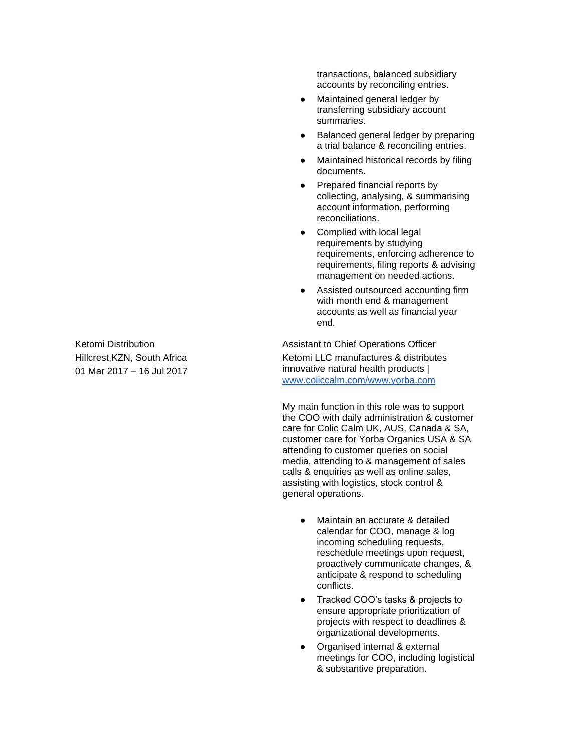Ketomi Distribution Hillcrest,KZN, South Africa 01 Mar 2017 – 16 Jul 2017 transactions, balanced subsidiary accounts by reconciling entries.

- Maintained general ledger by transferring subsidiary account summaries.
- Balanced general ledger by preparing a trial balance & reconciling entries.
- Maintained historical records by filing documents.
- Prepared financial reports by collecting, analysing, & summarising account information, performing reconciliations.
- Complied with local legal requirements by studying requirements, enforcing adherence to requirements, filing reports & advising management on needed actions.
- Assisted outsourced accounting firm with month end & management accounts as well as financial year end.

Assistant to Chief Operations Officer Ketomi LLC manufactures & distributes innovative natural health products | [www.coliccalm.com/www.yorba.com](http://www.coliccalm.com/www.yorba.com)

My main function in this role was to support the COO with daily administration & customer care for Colic Calm UK, AUS, Canada & SA, customer care for Yorba Organics USA & SA attending to customer queries on social media, attending to & management of sales calls & enquiries as well as online sales, assisting with logistics, stock control & general operations.

- Maintain an accurate & detailed calendar for COO, manage & log incoming scheduling requests, reschedule meetings upon request, proactively communicate changes, & anticipate & respond to scheduling conflicts.
- Tracked COO's tasks & projects to ensure appropriate prioritization of projects with respect to deadlines & organizational developments.
- Organised internal & external meetings for COO, including logistical & substantive preparation.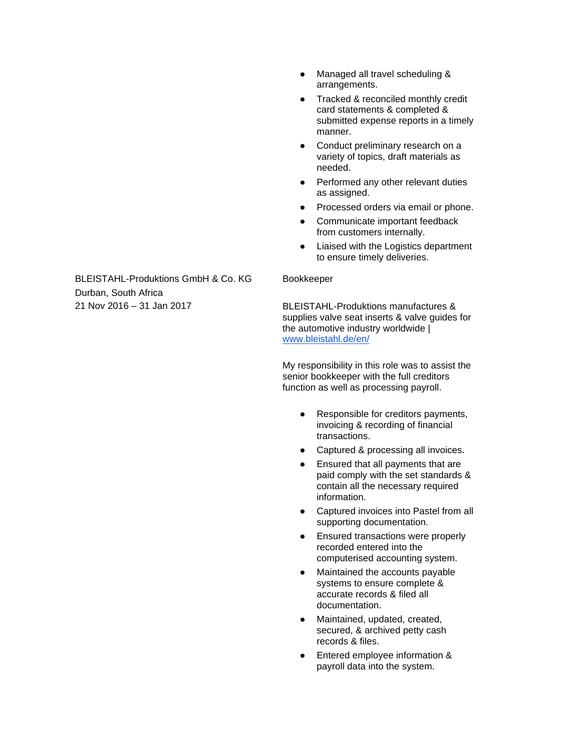- Managed all travel scheduling & arrangements.
- Tracked & reconciled monthly credit card statements & completed & submitted expense reports in a timely manner.
- Conduct preliminary research on a variety of topics, draft materials as needed.
- Performed any other relevant duties as assigned.
- Processed orders via email or phone.
- Communicate important feedback from customers internally.
- Liaised with the Logistics department to ensure timely deliveries.

BLEISTAHL-Produktions GmbH & Co. KG Durban, South Africa 21 Nov 2016 – 31 Jan 2017

#### Bookkeeper

BLEISTAHL-Produktions manufactures & supplies valve seat inserts & valve guides for the automotive industry worldwide | [www.bleistahl.de/en/](http://www.bleistahl.de/en/)

My responsibility in this role was to assist the senior bookkeeper with the full creditors function as well as processing payroll.

- Responsible for creditors payments, invoicing & recording of financial transactions.
- Captured & processing all invoices.
- Ensured that all payments that are paid comply with the set standards & contain all the necessary required information.
- Captured invoices into Pastel from all supporting documentation.
- Ensured transactions were properly recorded entered into the computerised accounting system.
- Maintained the accounts payable systems to ensure complete & accurate records & filed all documentation.
- Maintained, updated, created, secured, & archived petty cash records & files.
- Entered employee information & payroll data into the system.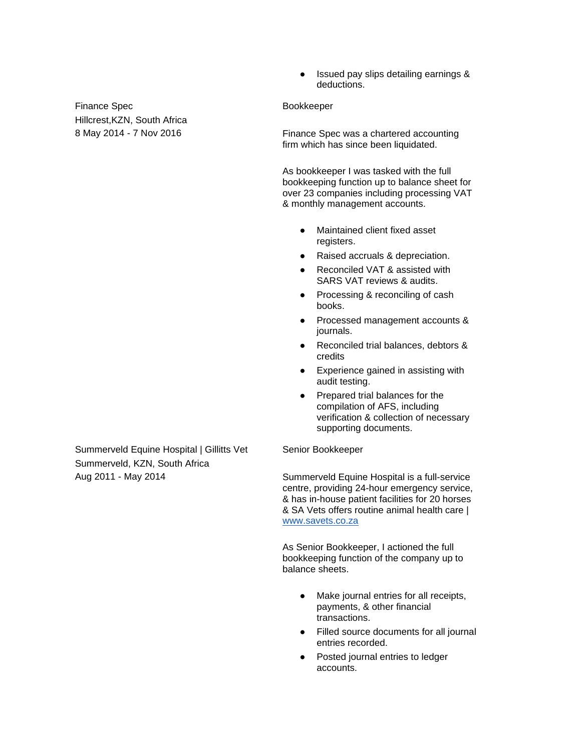Finance Spec Hillcrest,KZN, South Africa 8 May 2014 - 7 Nov 2016

● Issued pay slips detailing earnings & deductions.

#### Bookkeeper

Finance Spec was a chartered accounting firm which has since been liquidated.

As bookkeeper I was tasked with the full bookkeeping function up to balance sheet for over 23 companies including processing VAT & monthly management accounts.

- Maintained client fixed asset registers.
- Raised accruals & depreciation.
- Reconciled VAT & assisted with SARS VAT reviews & audits.
- Processing & reconciling of cash books.
- Processed management accounts & journals.
- Reconciled trial balances, debtors & credits
- Experience gained in assisting with audit testing.
- Prepared trial balances for the compilation of AFS, including verification & collection of necessary supporting documents.

#### Senior Bookkeeper

Summerveld Equine Hospital is a full-service centre, providing 24-hour emergency service, & has in-house patient facilities for 20 horses & SA Vets offers routine animal health care | [www.savets.co.za](http://www.savets.co.za/)

As Senior Bookkeeper, I actioned the full bookkeeping function of the company up to balance sheets.

- Make journal entries for all receipts, payments, & other financial transactions.
- Filled source documents for all journal entries recorded.
- Posted journal entries to ledger accounts.

Summerveld Equine Hospital | Gillitts Vet Summerveld, KZN, South Africa Aug 2011 - May 2014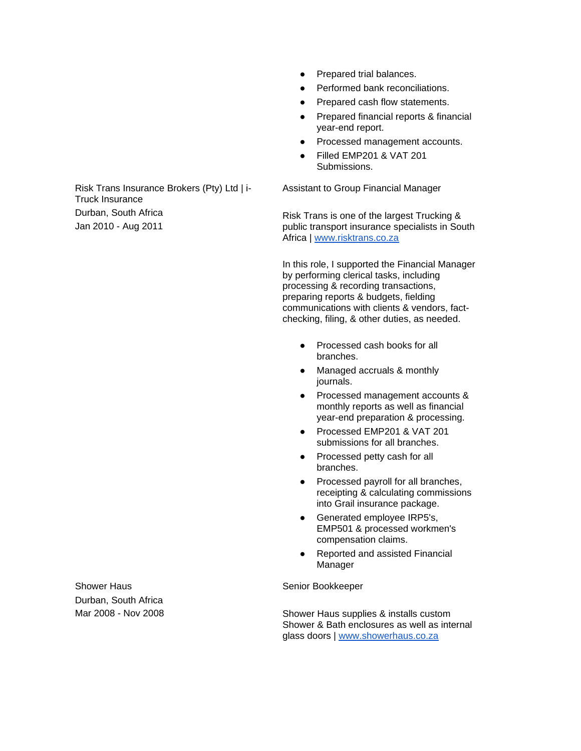- Prepared trial balances.
- **Performed bank reconciliations.**
- Prepared cash flow statements.
- Prepared financial reports & financial year-end report.
- Processed management accounts.
- **Filled EMP201 & VAT 201** Submissions.

Assistant to Group Financial Manager

Risk Trans is one of the largest Trucking & public transport insurance specialists in South Africa | [www.risktrans.co.za](http://www.risktrans.co.za/)

In this role, I supported the Financial Manager by performing clerical tasks, including processing & recording transactions, preparing reports & budgets, fielding communications with clients & vendors, factchecking, filing, & other duties, as needed.

- Processed cash books for all branches.
- Managed accruals & monthly journals.
- Processed management accounts & monthly reports as well as financial year-end preparation & processing.
- Processed EMP201 & VAT 201 submissions for all branches.
- Processed petty cash for all branches.
- Processed payroll for all branches, receipting & calculating commissions into Grail insurance package.
- Generated employee IRP5's, EMP501 & processed workmen's compensation claims.
- Reported and assisted Financial Manager

Senior Bookkeeper

Shower Haus supplies & installs custom Shower & Bath enclosures as well as internal glass doors | [www.showerhaus.co.za](http://www.showerhaus.co.za/)

Risk Trans Insurance Brokers (Pty) Ltd | i-Truck Insurance Durban, South Africa Jan 2010 - Aug 2011

Shower Haus Durban, South Africa Mar 2008 - Nov 2008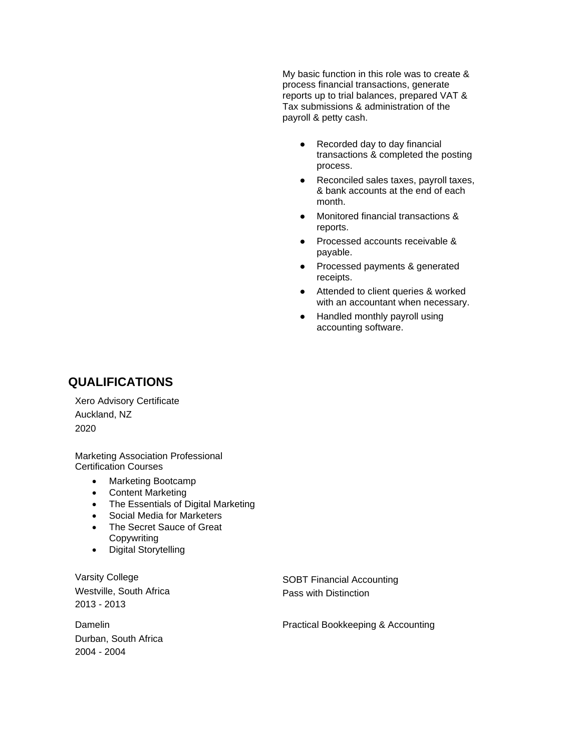My basic function in this role was to create & process financial transactions, generate reports up to trial balances, prepared VAT & Tax submissions & administration of the payroll & petty cash.

- Recorded day to day financial transactions & completed the posting process.
- Reconciled sales taxes, payroll taxes, & bank accounts at the end of each month.
- Monitored financial transactions & reports.
- Processed accounts receivable & payable.
- Processed payments & generated receipts.
- Attended to client queries & worked with an accountant when necessary.
- Handled monthly payroll using accounting software.

## **QUALIFICATIONS**

Xero Advisory Certificate Auckland, NZ 2020

Marketing Association Professional Certification Courses

- Marketing Bootcamp
- Content Marketing
- The Essentials of Digital Marketing
- Social Media for Marketers
- The Secret Sauce of Great Copywriting
- Digital Storytelling

Varsity College Westville, South Africa 2013 - 2013

Damelin Durban, South Africa 2004 - 2004

SOBT Financial Accounting Pass with Distinction

Practical Bookkeeping & Accounting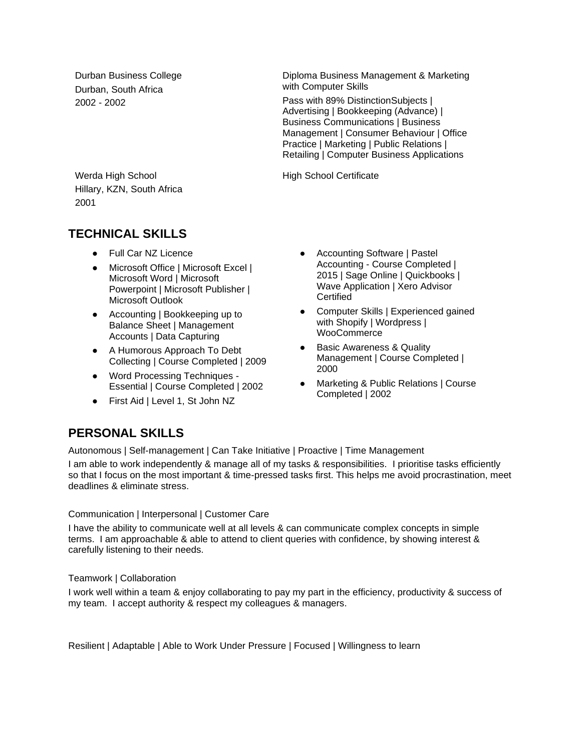Durban Business College Durban, South Africa 2002 - 2002

Diploma Business Management & Marketing with Computer Skills

Pass with 89% DistinctionSubjects | Advertising | Bookkeeping (Advance) | Business Communications | Business Management | Consumer Behaviour | Office Practice | Marketing | Public Relations | Retailing | Computer Business Applications

High School Certificate

Werda High School Hillary, KZN, South Africa 2001

## **TECHNICAL SKILLS**

- Full Car NZ Licence
- Microsoft Office | Microsoft Excel | Microsoft Word | Microsoft Powerpoint | Microsoft Publisher | Microsoft Outlook
- Accounting | Bookkeeping up to Balance Sheet | Management Accounts | Data Capturing
- A Humorous Approach To Debt Collecting | Course Completed | 2009
- Word Processing Techniques -Essential | Course Completed | 2002
- First Aid | Level 1, St John NZ
- Accounting Software | Pastel Accounting - Course Completed | 2015 | Sage Online | Quickbooks | Wave Application | Xero Advisor Certified
- Computer Skills | Experienced gained with Shopify | Wordpress | **WooCommerce**
- Basic Awareness & Quality Management | Course Completed | 2000
- Marketing & Public Relations | Course Completed | 2002

## **PERSONAL SKILLS**

Autonomous | Self-management | Can Take Initiative | Proactive | Time Management

I am able to work independently & manage all of my tasks & responsibilities. I prioritise tasks efficiently so that I focus on the most important & time-pressed tasks first. This helps me avoid procrastination, meet deadlines & eliminate stress.

#### Communication | Interpersonal | Customer Care

I have the ability to communicate well at all levels & can communicate complex concepts in simple terms. I am approachable & able to attend to client queries with confidence, by showing interest & carefully listening to their needs.

Teamwork | Collaboration

I work well within a team & enjoy collaborating to pay my part in the efficiency, productivity & success of my team. I accept authority & respect my colleagues & managers.

Resilient | Adaptable | Able to Work Under Pressure | Focused | Willingness to learn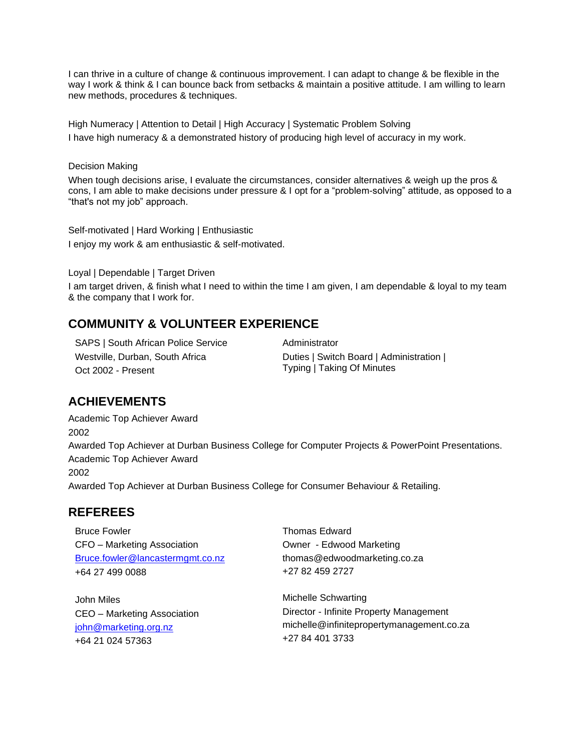I can thrive in a culture of change & continuous improvement. I can adapt to change & be flexible in the way I work & think & I can bounce back from setbacks & maintain a positive attitude. I am willing to learn new methods, procedures & techniques.

High Numeracy | Attention to Detail | High Accuracy | Systematic Problem Solving I have high numeracy & a demonstrated history of producing high level of accuracy in my work.

#### Decision Making

When tough decisions arise, I evaluate the circumstances, consider alternatives & weigh up the pros & cons, I am able to make decisions under pressure & I opt for a "problem-solving" attitude, as opposed to a "that's not my job" approach.

Self-motivated | Hard Working | Enthusiastic I enjoy my work & am enthusiastic & self-motivated.

Loyal | Dependable | Target Driven

I am target driven, & finish what I need to within the time I am given, I am dependable & loyal to my team & the company that I work for.

## **COMMUNITY & VOLUNTEER EXPERIENCE**

SAPS | South African Police Service Westville, Durban, South Africa Oct 2002 - Present

Administrator Duties | Switch Board | Administration | Typing | Taking Of Minutes

## **ACHIEVEMENTS**

Academic Top Achiever Award 2002 Awarded Top Achiever at Durban Business College for Computer Projects & PowerPoint Presentations. Academic Top Achiever Award 2002 Awarded Top Achiever at Durban Business College for Consumer Behaviour & Retailing.

#### **REFEREES**

Bruce Fowler CFO – Marketing Association [Bruce.fowler@lancastermgmt.co.nz](mailto:Bruce.fowler@lancastermgmt.co.nz) +64 27 499 0088

John Miles CEO – Marketing Association [john@marketing.org.nz](mailto:john@marketing.org.nz) +64 21 024 57363

Thomas Edward Owner - Edwood Marketing thomas@edwoodmarketing.co.za +27 82 459 2727

Michelle Schwarting Director - Infinite Property Management michelle@infinitepropertymanagement.co.za +27 84 401 3733